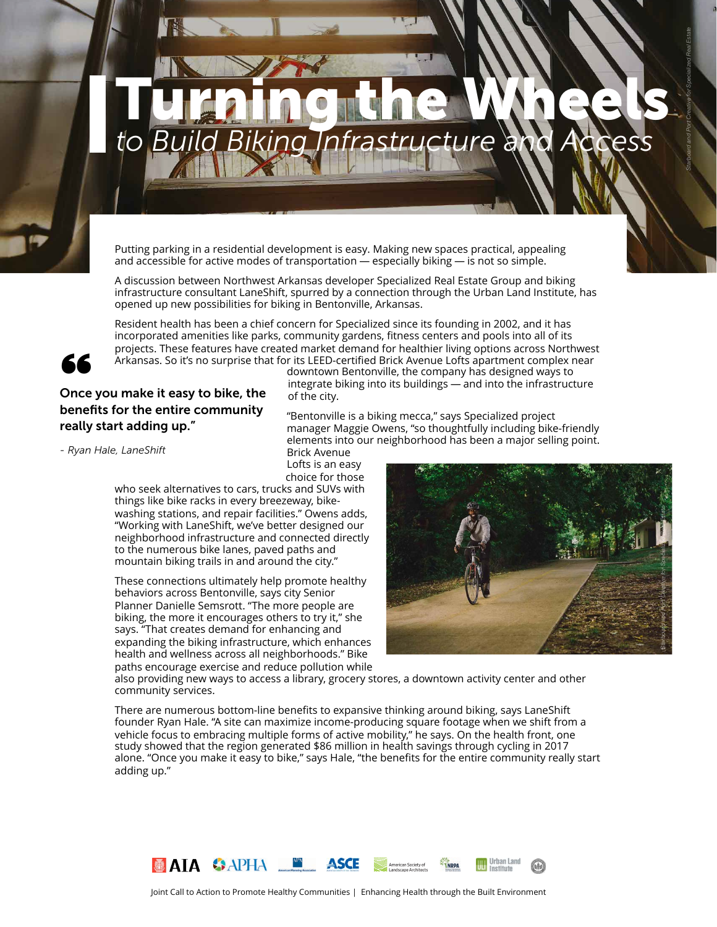# *to Build Biking Infrastructure and Access* Turning the Wheels

Putting parking in a residential development is easy. Making new spaces practical, appealing and accessible for active modes of transportation — especially biking — is not so simple.

A discussion between Northwest Arkansas developer Specialized Real Estate Group and biking infrastructure consultant LaneShift, spurred by a connection through the Urban Land Institute, has opened up new possibilities for biking in Bentonville, Arkansas.

Resident health has been a chief concern for Specialized since its founding in 2002, and it has incorporated amenities like parks, community gardens, fitness centers and pools into all of its projects. These features have created market demand for healthier living options across Northwest Arkansas. So it's no surprise that for its LEED-certified Brick Avenue Lofts apartment complex near



# Solid Arkansas. So it's no surprise that<br>Once you make it easy to bike, the benefits for the entire community really start adding up."

*- Ryan Hale, LaneShift*

downtown Bentonville, the company has designed ways to integrate biking into its buildings — and into the infrastructure of the city.

"Bentonville is a biking mecca," says Specialized project manager Maggie Owens, "so thoughtfully including bike-friendly elements into our neighborhood has been a major selling point. Brick Avenue

Lofts is an easy choice for those

who seek alternatives to cars, trucks and SUVs with things like bike racks in every breezeway, bikewashing stations, and repair facilities." Owens adds, "Working with LaneShift, we've better designed our neighborhood infrastructure and connected directly to the numerous bike lanes, paved paths and mountain biking trails in and around the city."

These connections ultimately help promote healthy behaviors across Bentonville, says city Senior Planner Danielle Semsrott. "The more people are biking, the more it encourages others to try it," she says. "That creates demand for enhancing and expanding the biking infrastructure, which enhances health and wellness across all neighborhoods." Bike paths encourage exercise and reduce pollution while



*Starboard and Port Creative for Specialized Real Estate* 

also providing new ways to access a library, grocery stores, a downtown activity center and other community services.

There are numerous bottom-line benefits to expansive thinking around biking, says LaneShift founder Ryan Hale. "A site can maximize income-producing square footage when we shift from a vehicle focus to embracing multiple forms of active mobility," he says. On the health front, one study showed that the region generated \$86 million in health savings through cycling in 2017 alone. "Once you make it easy to bike," says Hale, "the benefits for the entire community really start adding up."